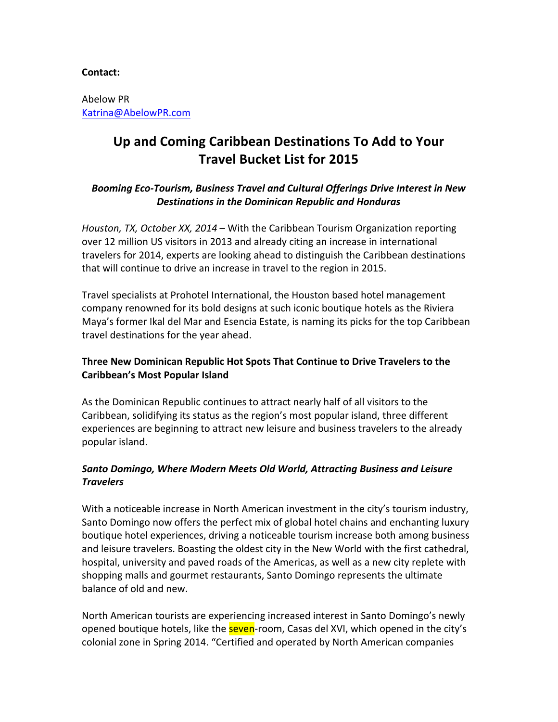#### **Contact:**

Abelow PR Katrina@AbelowPR.com

# Up and Coming Caribbean Destinations To Add to Your **Travel Bucket List for 2015**

#### Booming *Eco-Tourism, Business Travel and Cultural Offerings Drive Interest in New* **Destinations in the Dominican Republic and Honduras**

*Houston, TX, October XX, 2014* – With the Caribbean Tourism Organization reporting over 12 million US visitors in 2013 and already citing an increase in international travelers for 2014, experts are looking ahead to distinguish the Caribbean destinations that will continue to drive an increase in travel to the region in 2015.

Travel specialists at Prohotel International, the Houston based hotel management company renowned for its bold designs at such iconic boutique hotels as the Riviera Maya's former Ikal del Mar and Esencia Estate, is naming its picks for the top Caribbean travel destinations for the year ahead.

# **Three New Dominican Republic Hot Spots That Continue to Drive Travelers to the Caribbean's Most Popular Island**

As the Dominican Republic continues to attract nearly half of all visitors to the Caribbean, solidifying its status as the region's most popular island, three different experiences are beginning to attract new leisure and business travelers to the already popular island.

# *Santo Domingo, Where Modern Meets Old World, Attracting Business and Leisure Travelers*

With a noticeable increase in North American investment in the city's tourism industry, Santo Domingo now offers the perfect mix of global hotel chains and enchanting luxury boutique hotel experiences, driving a noticeable tourism increase both among business and leisure travelers. Boasting the oldest city in the New World with the first cathedral, hospital, university and paved roads of the Americas, as well as a new city replete with shopping malls and gourmet restaurants, Santo Domingo represents the ultimate balance of old and new.

North American tourists are experiencing increased interest in Santo Domingo's newly opened boutique hotels, like the **seven**-room, Casas del XVI, which opened in the city's colonial zone in Spring 2014. "Certified and operated by North American companies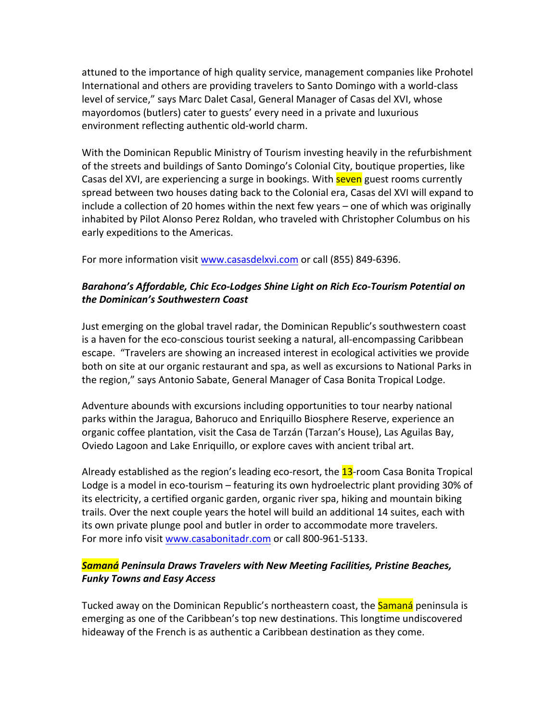attuned to the importance of high quality service, management companies like Prohotel International and others are providing travelers to Santo Domingo with a world-class level of service," says Marc Dalet Casal, General Manager of Casas del XVI, whose mayordomos (butlers) cater to guests' every need in a private and luxurious environment reflecting authentic old-world charm.

With the Dominican Republic Ministry of Tourism investing heavily in the refurbishment of the streets and buildings of Santo Domingo's Colonial City, boutique properties, like Casas del XVI, are experiencing a surge in bookings. With **seven** guest rooms currently spread between two houses dating back to the Colonial era, Casas del XVI will expand to include a collection of 20 homes within the next few years  $-$  one of which was originally inhabited by Pilot Alonso Perez Roldan, who traveled with Christopher Columbus on his early expeditions to the Americas.

For more information visit www.casasdelxvi.com or call (855) 849-6396.

#### Barahona's Affordable, Chic Eco-Lodges Shine Light on Rich Eco-Tourism Potential on *the Dominican's Southwestern Coast*

Just emerging on the global travel radar, the Dominican Republic's southwestern coast is a haven for the eco-conscious tourist seeking a natural, all-encompassing Caribbean escape. "Travelers are showing an increased interest in ecological activities we provide both on site at our organic restaurant and spa, as well as excursions to National Parks in the region," says Antonio Sabate, General Manager of Casa Bonita Tropical Lodge.

Adventure abounds with excursions including opportunities to tour nearby national parks within the Jaragua, Bahoruco and Enriquillo Biosphere Reserve, experience an organic coffee plantation, visit the Casa de Tarzán (Tarzan's House), Las Aguilas Bay, Oviedo Lagoon and Lake Enriquillo, or explore caves with ancient tribal art.

Already established as the region's leading eco-resort, the **13**-room Casa Bonita Tropical Lodge is a model in eco-tourism – featuring its own hydroelectric plant providing 30% of its electricity, a certified organic garden, organic river spa, hiking and mountain biking trails. Over the next couple years the hotel will build an additional 14 suites, each with its own private plunge pool and butler in order to accommodate more travelers. For more info visit www.casabonitadr.com or call 800-961-5133.

# *Samaná Peninsula Draws Travelers with New Meeting Facilities, Pristine Beaches, Funky Towns and Easy Access*

Tucked away on the Dominican Republic's northeastern coast, the **Samaná** peninsula is emerging as one of the Caribbean's top new destinations. This longtime undiscovered hideaway of the French is as authentic a Caribbean destination as they come.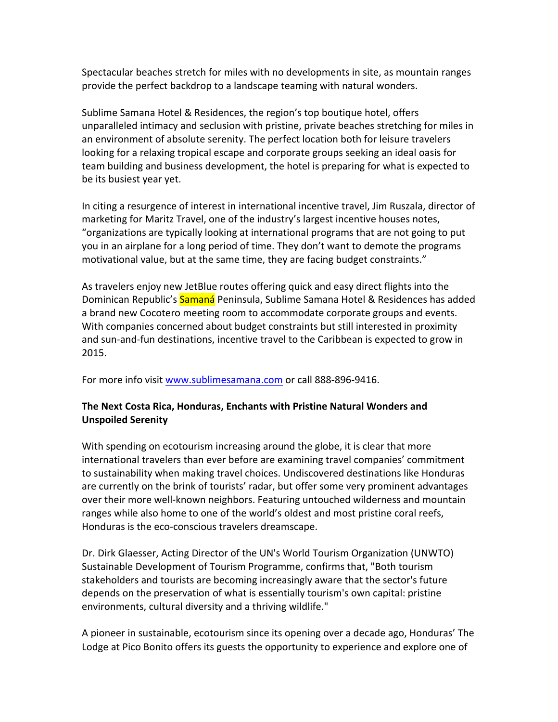Spectacular beaches stretch for miles with no developments in site, as mountain ranges provide the perfect backdrop to a landscape teaming with natural wonders.

Sublime Samana Hotel & Residences, the region's top boutique hotel, offers unparalleled intimacy and seclusion with pristine, private beaches stretching for miles in an environment of absolute serenity. The perfect location both for leisure travelers looking for a relaxing tropical escape and corporate groups seeking an ideal oasis for team building and business development, the hotel is preparing for what is expected to be its busiest year yet.

In citing a resurgence of interest in international incentive travel, Jim Ruszala, director of marketing for Maritz Travel, one of the industry's largest incentive houses notes, "organizations are typically looking at international programs that are not going to put you in an airplane for a long period of time. They don't want to demote the programs motivational value, but at the same time, they are facing budget constraints."

As travelers enjoy new JetBlue routes offering quick and easy direct flights into the Dominican Republic's Samaná Peninsula, Sublime Samana Hotel & Residences has added a brand new Cocotero meeting room to accommodate corporate groups and events. With companies concerned about budget constraints but still interested in proximity and sun-and-fun destinations, incentive travel to the Caribbean is expected to grow in 2015.

For more info visit www.sublimesamana.com or call 888-896-9416.

#### The Next Costa Rica, Honduras, Enchants with Pristine Natural Wonders and **Unspoiled Serenity**

With spending on ecotourism increasing around the globe, it is clear that more international travelers than ever before are examining travel companies' commitment to sustainability when making travel choices. Undiscovered destinations like Honduras are currently on the brink of tourists' radar, but offer some very prominent advantages over their more well-known neighbors. Featuring untouched wilderness and mountain ranges while also home to one of the world's oldest and most pristine coral reefs, Honduras is the eco-conscious travelers dreamscape.

Dr. Dirk Glaesser, Acting Director of the UN's World Tourism Organization (UNWTO) Sustainable Development of Tourism Programme, confirms that, "Both tourism stakeholders and tourists are becoming increasingly aware that the sector's future depends on the preservation of what is essentially tourism's own capital: pristine environments, cultural diversity and a thriving wildlife."

A pioneer in sustainable, ecotourism since its opening over a decade ago, Honduras' The Lodge at Pico Bonito offers its guests the opportunity to experience and explore one of